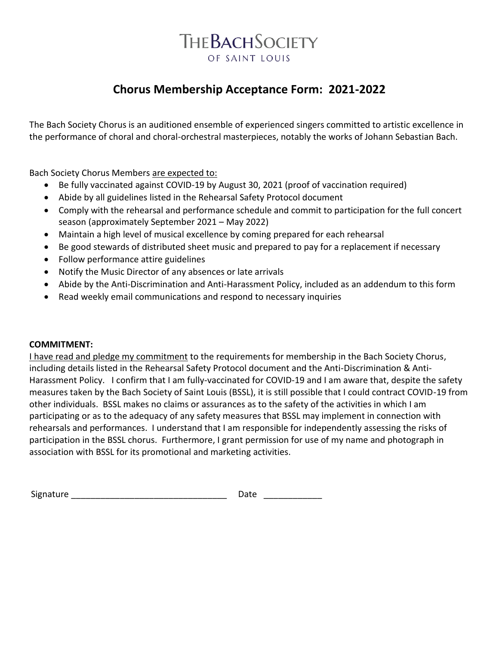# **THEBACHSOCIETY** OF SAINT LOUIS

### **Chorus Membership Acceptance Form: 2021-2022**

The Bach Society Chorus is an auditioned ensemble of experienced singers committed to artistic excellence in the performance of choral and choral-orchestral masterpieces, notably the works of Johann Sebastian Bach.

Bach Society Chorus Members are expected to:

- Be fully vaccinated against COVID-19 by August 30, 2021 (proof of vaccination required)
- Abide by all guidelines listed in the Rehearsal Safety Protocol document
- Comply with the rehearsal and performance schedule and commit to participation for the full concert season (approximately September 2021 – May 2022)
- Maintain a high level of musical excellence by coming prepared for each rehearsal
- Be good stewards of distributed sheet music and prepared to pay for a replacement if necessary
- Follow performance attire guidelines
- Notify the Music Director of any absences or late arrivals
- Abide by the Anti-Discrimination and Anti-Harassment Policy, included as an addendum to this form
- Read weekly email communications and respond to necessary inquiries

#### **COMMITMENT:**

I have read and pledge my commitment to the requirements for membership in the Bach Society Chorus, including details listed in the Rehearsal Safety Protocol document and the Anti-Discrimination & Anti-Harassment Policy. I confirm that I am fully-vaccinated for COVID-19 and I am aware that, despite the safety measures taken by the Bach Society of Saint Louis (BSSL), it is still possible that I could contract COVID-19 from other individuals. BSSL makes no claims or assurances as to the safety of the activities in which I am participating or as to the adequacy of any safety measures that BSSL may implement in connection with rehearsals and performances. I understand that I am responsible for independently assessing the risks of participation in the BSSL chorus. Furthermore, I grant permission for use of my name and photograph in association with BSSL for its promotional and marketing activities.

| Signature |  |
|-----------|--|
|           |  |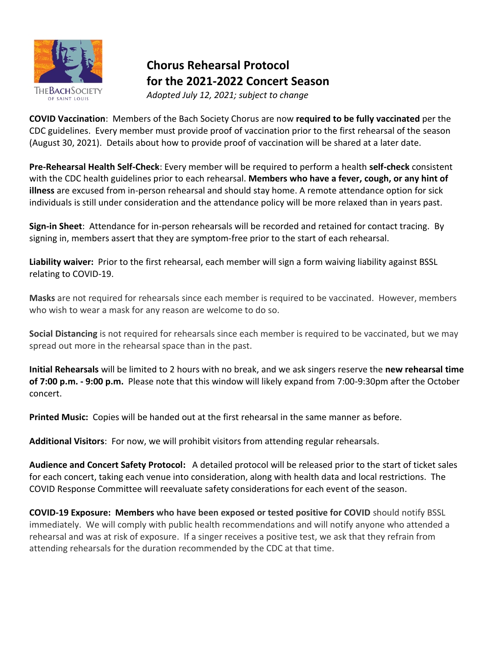

## **Chorus Rehearsal Protocol for the 2021-2022 Concert Season**

*Adopted July 12, 2021; subject to change*

**COVID Vaccination**: Members of the Bach Society Chorus are now **required to be fully vaccinated** per the CDC guidelines. Every member must provide proof of vaccination prior to the first rehearsal of the season (August 30, 2021). Details about how to provide proof of vaccination will be shared at a later date.

**Pre-Rehearsal Health Self-Check**: Every member will be required to perform a health **self-check** consistent with the CDC health guidelines prior to each rehearsal. **Members who have a fever, cough, or any hint of illness** are excused from in-person rehearsal and should stay home. A remote attendance option for sick individuals is still under consideration and the attendance policy will be more relaxed than in years past.

**Sign-in Sheet**: Attendance for in-person rehearsals will be recorded and retained for contact tracing. By signing in, members assert that they are symptom-free prior to the start of each rehearsal.

**Liability waiver:** Prior to the first rehearsal, each member will sign a form waiving liability against BSSL relating to COVID-19.

**Masks** are not required for rehearsals since each member is required to be vaccinated. However, members who wish to wear a mask for any reason are welcome to do so.

**Social Distancing** is not required for rehearsals since each member is required to be vaccinated, but we may spread out more in the rehearsal space than in the past.

**Initial Rehearsals** will be limited to 2 hours with no break, and we ask singers reserve the **new rehearsal time of 7:00 p.m. - 9:00 p.m.** Please note that this window will likely expand from 7:00-9:30pm after the October concert.

**Printed Music:** Copies will be handed out at the first rehearsal in the same manner as before.

**Additional Visitors**: For now, we will prohibit visitors from attending regular rehearsals.

**Audience and Concert Safety Protocol:** A detailed protocol will be released prior to the start of ticket sales for each concert, taking each venue into consideration, along with health data and local restrictions. The COVID Response Committee will reevaluate safety considerations for each event of the season.

**COVID-19 Exposure: Members who have been exposed or tested positive for COVID** should notify BSSL immediately. We will comply with public health recommendations and will notify anyone who attended a rehearsal and was at risk of exposure. If a singer receives a positive test, we ask that they refrain from attending rehearsals for the duration recommended by the CDC at that time.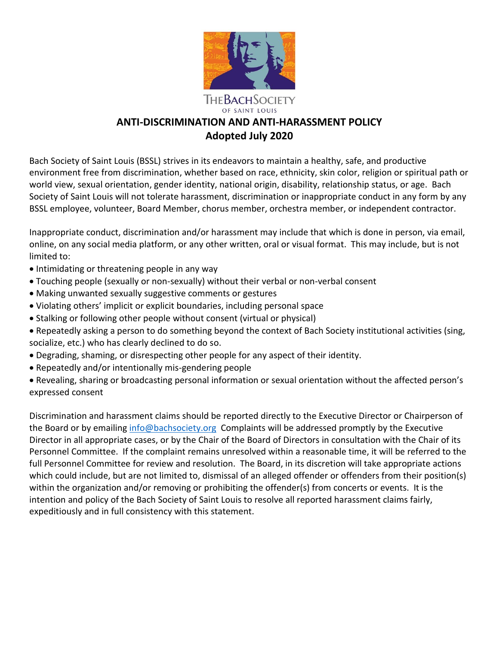

### **ANTI-DISCRIMINATION AND ANTI-HARASSMENT POLICY Adopted July 2020**

Bach Society of Saint Louis (BSSL) strives in its endeavors to maintain a healthy, safe, and productive environment free from discrimination, whether based on race, ethnicity, skin color, religion or spiritual path or world view, sexual orientation, gender identity, national origin, disability, relationship status, or age. Bach Society of Saint Louis will not tolerate harassment, discrimination or inappropriate conduct in any form by any BSSL employee, volunteer, Board Member, chorus member, orchestra member, or independent contractor.

Inappropriate conduct, discrimination and/or harassment may include that which is done in person, via email, online, on any social media platform, or any other written, oral or visual format. This may include, but is not limited to:

- Intimidating or threatening people in any way
- Touching people (sexually or non-sexually) without their verbal or non-verbal consent
- Making unwanted sexually suggestive comments or gestures
- Violating others' implicit or explicit boundaries, including personal space
- Stalking or following other people without consent (virtual or physical)
- Repeatedly asking a person to do something beyond the context of Bach Society institutional activities (sing, socialize, etc.) who has clearly declined to do so.
- Degrading, shaming, or disrespecting other people for any aspect of their identity.
- Repeatedly and/or intentionally mis-gendering people
- Revealing, sharing or broadcasting personal information or sexual orientation without the affected person's expressed consent

Discrimination and harassment claims should be reported directly to the Executive Director or Chairperson of the Board or by emailin[g info@bachsociety.org](mailto:info@bachsociety.org) Complaints will be addressed promptly by the Executive Director in all appropriate cases, or by the Chair of the Board of Directors in consultation with the Chair of its Personnel Committee. If the complaint remains unresolved within a reasonable time, it will be referred to the full Personnel Committee for review and resolution. The Board, in its discretion will take appropriate actions which could include, but are not limited to, dismissal of an alleged offender or offenders from their position(s) within the organization and/or removing or prohibiting the offender(s) from concerts or events. It is the intention and policy of the Bach Society of Saint Louis to resolve all reported harassment claims fairly, expeditiously and in full consistency with this statement.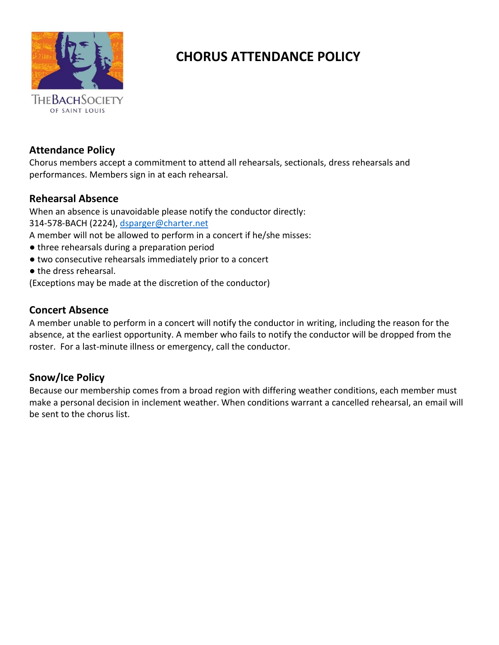

## **CHORUS ATTENDANCE POLICY**

### **Attendance Policy**

Chorus members accept a commitment to attend all rehearsals, sectionals, dress rehearsals and performances. Members sign in at each rehearsal.

### **Rehearsal Absence**

When an absence is unavoidable please notify the conductor directly: 314-578-BACH (2224), [dsparger@charter.net](mailto:dsparger@charter.net) A member will not be allowed to perform in a concert if he/she misses:

- three rehearsals during a preparation period
- two consecutive rehearsals immediately prior to a concert
- the dress rehearsal.

(Exceptions may be made at the discretion of the conductor)

#### **Concert Absence**

A member unable to perform in a concert will notify the conductor in writing, including the reason for the absence, at the earliest opportunity. A member who fails to notify the conductor will be dropped from the roster. For a last-minute illness or emergency, call the conductor.

#### **Snow/Ice Policy**

Because our membership comes from a broad region with differing weather conditions, each member must make a personal decision in inclement weather. When conditions warrant a cancelled rehearsal, an email will be sent to the chorus list.